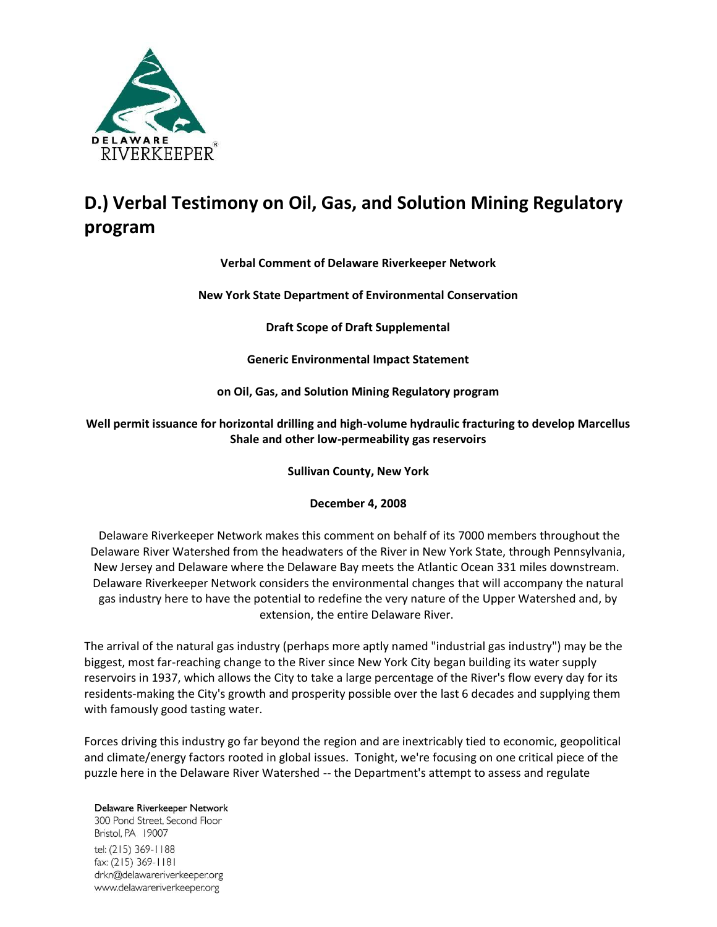

## **D.) Verbal Testimony on Oil, Gas, and Solution Mining Regulatory program**

## **Verbal Comment of Delaware Riverkeeper Network**

**New York State Department of Environmental Conservation**

**Draft Scope of Draft Supplemental** 

**Generic Environmental Impact Statement** 

**on Oil, Gas, and Solution Mining Regulatory program**

**Well permit issuance for horizontal drilling and high-volume hydraulic fracturing to develop Marcellus Shale and other low-permeability gas reservoirs**

**Sullivan County, New York**

**December 4, 2008**

Delaware Riverkeeper Network makes this comment on behalf of its 7000 members throughout the Delaware River Watershed from the headwaters of the River in New York State, through Pennsylvania, New Jersey and Delaware where the Delaware Bay meets the Atlantic Ocean 331 miles downstream. Delaware Riverkeeper Network considers the environmental changes that will accompany the natural gas industry here to have the potential to redefine the very nature of the Upper Watershed and, by extension, the entire Delaware River.

The arrival of the natural gas industry (perhaps more aptly named "industrial gas industry") may be the biggest, most far-reaching change to the River since New York City began building its water supply reservoirs in 1937, which allows the City to take a large percentage of the River's flow every day for its residents-making the City's growth and prosperity possible over the last 6 decades and supplying them with famously good tasting water.

Forces driving this industry go far beyond the region and are inextricably tied to economic, geopolitical and climate/energy factors rooted in global issues. Tonight, we're focusing on one critical piece of the puzzle here in the Delaware River Watershed -- the Department's attempt to assess and regulate

Delaware Riverkeeper Network 300 Pond Street, Second Floor Bristol, PA 19007 tel: (215) 369-1188 fax: (215) 369-1181 drkn@delawareriverkeeper.org www.delawareriverkeeper.org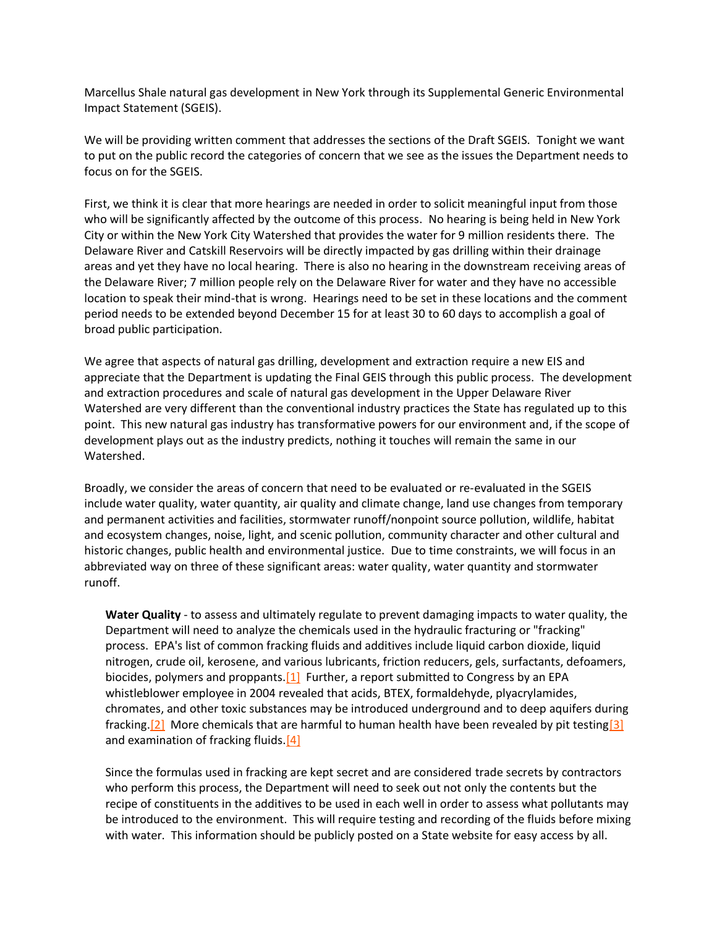Marcellus Shale natural gas development in New York through its Supplemental Generic Environmental Impact Statement (SGEIS).

We will be providing written comment that addresses the sections of the Draft SGEIS. Tonight we want to put on the public record the categories of concern that we see as the issues the Department needs to focus on for the SGEIS.

First, we think it is clear that more hearings are needed in order to solicit meaningful input from those who will be significantly affected by the outcome of this process. No hearing is being held in New York City or within the New York City Watershed that provides the water for 9 million residents there. The Delaware River and Catskill Reservoirs will be directly impacted by gas drilling within their drainage areas and yet they have no local hearing. There is also no hearing in the downstream receiving areas of the Delaware River; 7 million people rely on the Delaware River for water and they have no accessible location to speak their mind-that is wrong. Hearings need to be set in these locations and the comment period needs to be extended beyond December 15 for at least 30 to 60 days to accomplish a goal of broad public participation.

We agree that aspects of natural gas drilling, development and extraction require a new EIS and appreciate that the Department is updating the Final GEIS through this public process. The development and extraction procedures and scale of natural gas development in the Upper Delaware River Watershed are very different than the conventional industry practices the State has regulated up to this point. This new natural gas industry has transformative powers for our environment and, if the scope of development plays out as the industry predicts, nothing it touches will remain the same in our Watershed.

Broadly, we consider the areas of concern that need to be evaluated or re-evaluated in the SGEIS include water quality, water quantity, air quality and climate change, land use changes from temporary and permanent activities and facilities, stormwater runoff/nonpoint source pollution, wildlife, habitat and ecosystem changes, noise, light, and scenic pollution, community character and other cultural and historic changes, public health and environmental justice. Due to time constraints, we will focus in an abbreviated way on three of these significant areas: water quality, water quantity and stormwater runoff.

**Water Quality** - to assess and ultimately regulate to prevent damaging impacts to water quality, the Department will need to analyze the chemicals used in the hydraulic fracturing or "fracking" process. EPA's list of common fracking fluids and additives include liquid carbon dioxide, liquid nitrogen, crude oil, kerosene, and various lubricants, friction reducers, gels, surfactants, defoamers, biocides, polymers and proppants. $[1]$  Further, a report submitted to Congress by an EPA whistleblower employee in 2004 revealed that acids, BTEX, formaldehyde, plyacrylamides, chromates, and other toxic substances may be introduced underground and to deep aquifers during fracking.<sup>[2]</sup> More chemicals that are harmful to human health have been revealed by pit testing<sup>[3]</sup> and examination of fracking fluids. $[4]$ 

Since the formulas used in fracking are kept secret and are considered trade secrets by contractors who perform this process, the Department will need to seek out not only the contents but the recipe of constituents in the additives to be used in each well in order to assess what pollutants may be introduced to the environment. This will require testing and recording of the fluids before mixing with water. This information should be publicly posted on a State website for easy access by all.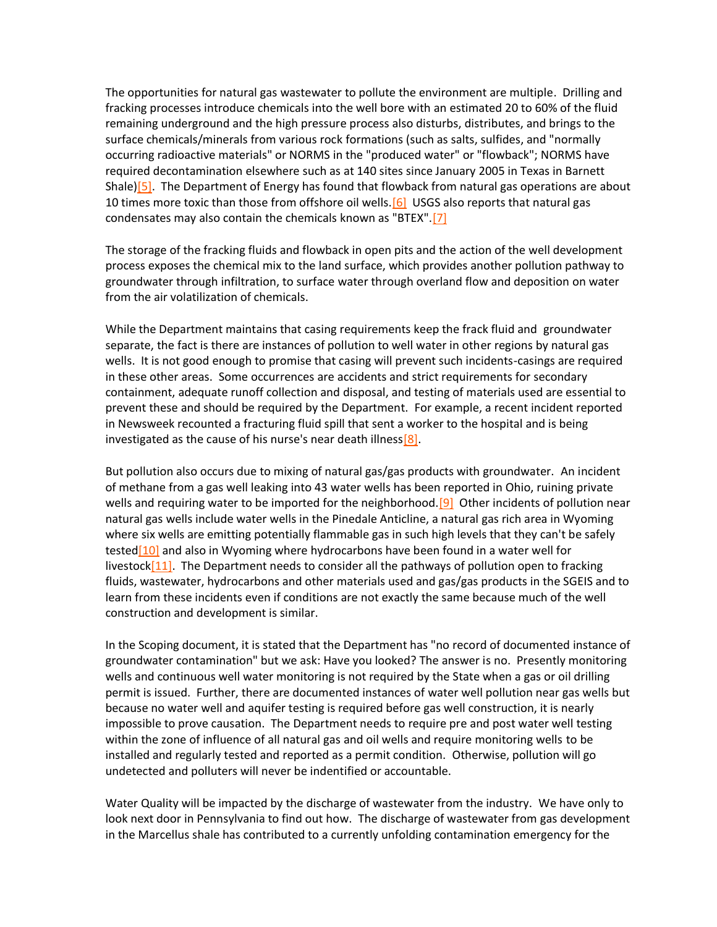The opportunities for natural gas wastewater to pollute the environment are multiple. Drilling and fracking processes introduce chemicals into the well bore with an estimated 20 to 60% of the fluid remaining underground and the high pressure process also disturbs, distributes, and brings to the surface chemicals/minerals from various rock formations (such as salts, sulfides, and "normally occurring radioactive materials" or NORMS in the "produced water" or "flowback"; NORMS have required decontamination elsewhere such as at 140 sites since January 2005 in Texas in Barnett Shale)<sup>[5]</sup>. The Department of Energy has found that flowback from natural gas operations are about 10 times more toxic than those from offshore oil wells. [6] USGS also reports that natural gas condensates may also contain the chemicals known as "BTEX"[.\[7\]](http://delawareriverkeeper.org/?action=edit&id=80#_ftn7)

The storage of the fracking fluids and flowback in open pits and the action of the well development process exposes the chemical mix to the land surface, which provides another pollution pathway to groundwater through infiltration, to surface water through overland flow and deposition on water from the air volatilization of chemicals.

While the Department maintains that casing requirements keep the frack fluid and groundwater separate, the fact is there are instances of pollution to well water in other regions by natural gas wells. It is not good enough to promise that casing will prevent such incidents-casings are required in these other areas. Some occurrences are accidents and strict requirements for secondary containment, adequate runoff collection and disposal, and testing of materials used are essential to prevent these and should be required by the Department. For example, a recent incident reported in Newsweek recounted a fracturing fluid spill that sent a worker to the hospital and is being investigated as the cause of his nurse's near death illness $[8]$ .

But pollution also occurs due to mixing of natural gas/gas products with groundwater. An incident of methane from a gas well leaking into 43 water wells has been reported in Ohio, ruining private wells and requiring water to be imported for the neighborhood.<sup>[9]</sup> Other incidents of pollution near natural gas wells include water wells in the Pinedale Anticline, a natural gas rich area in Wyoming where six wells are emitting potentially flammable gas in such high levels that they can't be safely tested<sup>[10]</sup> and also in Wyoming where hydrocarbons have been found in a water well for livestock $[11]$ . The Department needs to consider all the pathways of pollution open to fracking fluids, wastewater, hydrocarbons and other materials used and gas/gas products in the SGEIS and to learn from these incidents even if conditions are not exactly the same because much of the well construction and development is similar.

In the Scoping document, it is stated that the Department has "no record of documented instance of groundwater contamination" but we ask: Have you looked? The answer is no. Presently monitoring wells and continuous well water monitoring is not required by the State when a gas or oil drilling permit is issued. Further, there are documented instances of water well pollution near gas wells but because no water well and aquifer testing is required before gas well construction, it is nearly impossible to prove causation. The Department needs to require pre and post water well testing within the zone of influence of all natural gas and oil wells and require monitoring wells to be installed and regularly tested and reported as a permit condition. Otherwise, pollution will go undetected and polluters will never be indentified or accountable.

Water Quality will be impacted by the discharge of wastewater from the industry. We have only to look next door in Pennsylvania to find out how. The discharge of wastewater from gas development in the Marcellus shale has contributed to a currently unfolding contamination emergency for the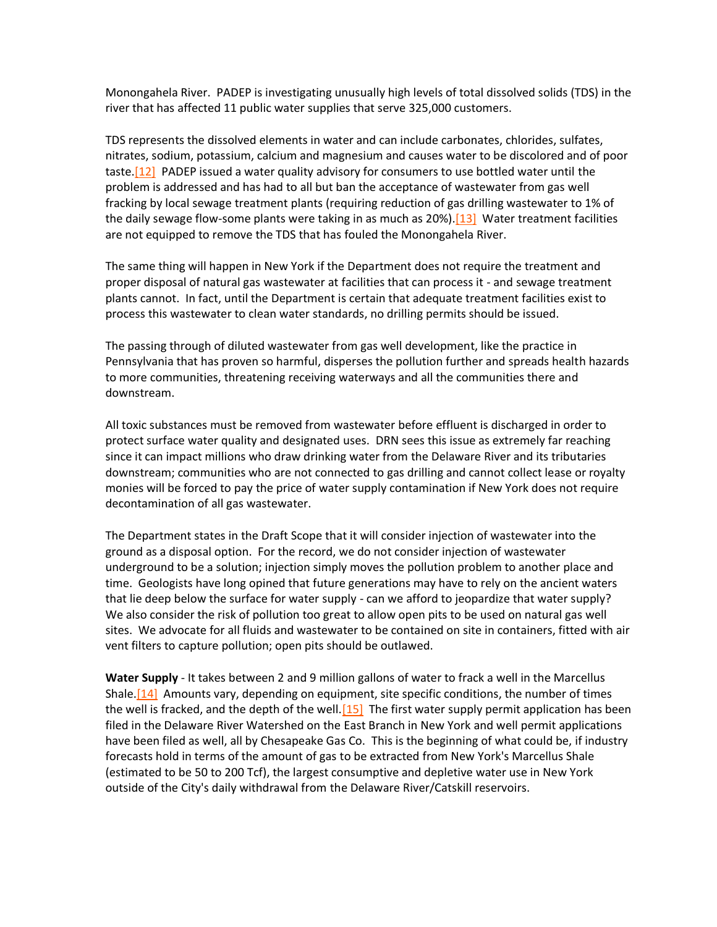Monongahela River. PADEP is investigating unusually high levels of total dissolved solids (TDS) in the river that has affected 11 public water supplies that serve 325,000 customers.

TDS represents the dissolved elements in water and can include carbonates, chlorides, sulfates, nitrates, sodium, potassium, calcium and magnesium and causes water to be discolored and of poor taste. $[12]$  PADEP issued a water quality advisory for consumers to use bottled water until the problem is addressed and has had to all but ban the acceptance of wastewater from gas well fracking by local sewage treatment plants (requiring reduction of gas drilling wastewater to 1% of the daily sewage flow-some plants were taking in as much as  $20\%$ ). [13] Water treatment facilities are not equipped to remove the TDS that has fouled the Monongahela River.

The same thing will happen in New York if the Department does not require the treatment and proper disposal of natural gas wastewater at facilities that can process it - and sewage treatment plants cannot. In fact, until the Department is certain that adequate treatment facilities exist to process this wastewater to clean water standards, no drilling permits should be issued.

The passing through of diluted wastewater from gas well development, like the practice in Pennsylvania that has proven so harmful, disperses the pollution further and spreads health hazards to more communities, threatening receiving waterways and all the communities there and downstream.

All toxic substances must be removed from wastewater before effluent is discharged in order to protect surface water quality and designated uses. DRN sees this issue as extremely far reaching since it can impact millions who draw drinking water from the Delaware River and its tributaries downstream; communities who are not connected to gas drilling and cannot collect lease or royalty monies will be forced to pay the price of water supply contamination if New York does not require decontamination of all gas wastewater.

The Department states in the Draft Scope that it will consider injection of wastewater into the ground as a disposal option. For the record, we do not consider injection of wastewater underground to be a solution; injection simply moves the pollution problem to another place and time. Geologists have long opined that future generations may have to rely on the ancient waters that lie deep below the surface for water supply - can we afford to jeopardize that water supply? We also consider the risk of pollution too great to allow open pits to be used on natural gas well sites. We advocate for all fluids and wastewater to be contained on site in containers, fitted with air vent filters to capture pollution; open pits should be outlawed.

**Water Supply** - It takes between 2 and 9 million gallons of water to frack a well in the Marcellus Shale.<sup>[14]</sup> Amounts vary, depending on equipment, site specific conditions, the number of times the well is fracked, and the depth of the well.  $[15]$  The first water supply permit application has been filed in the Delaware River Watershed on the East Branch in New York and well permit applications have been filed as well, all by Chesapeake Gas Co. This is the beginning of what could be, if industry forecasts hold in terms of the amount of gas to be extracted from New York's Marcellus Shale (estimated to be 50 to 200 Tcf), the largest consumptive and depletive water use in New York outside of the City's daily withdrawal from the Delaware River/Catskill reservoirs.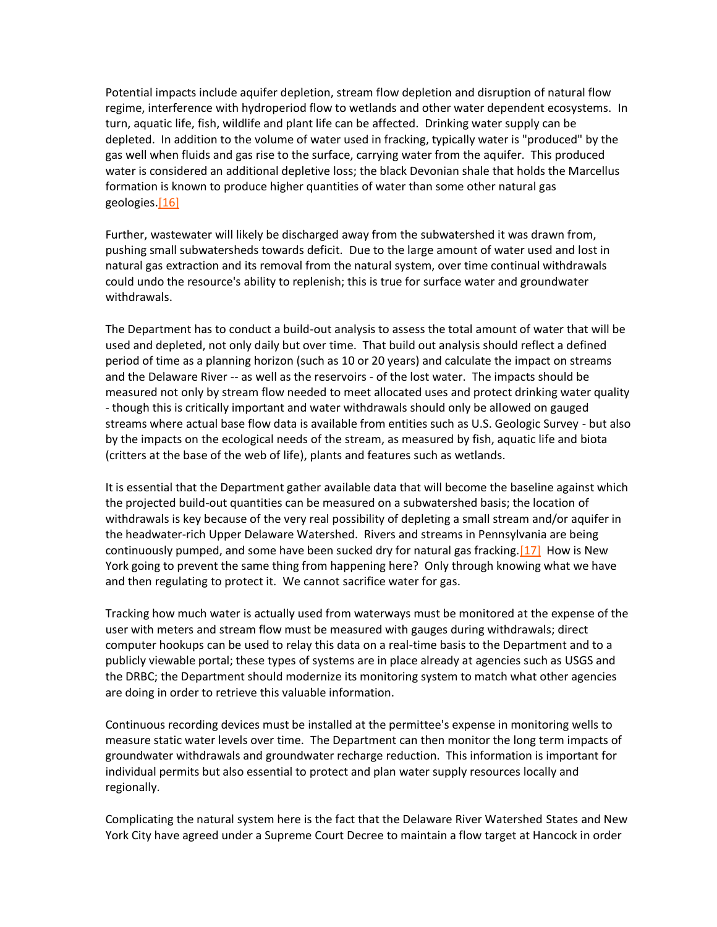Potential impacts include aquifer depletion, stream flow depletion and disruption of natural flow regime, interference with hydroperiod flow to wetlands and other water dependent ecosystems. In turn, aquatic life, fish, wildlife and plant life can be affected. Drinking water supply can be depleted. In addition to the volume of water used in fracking, typically water is "produced" by the gas well when fluids and gas rise to the surface, carrying water from the aquifer. This produced water is considered an additional depletive loss; the black Devonian shale that holds the Marcellus formation is known to produce higher quantities of water than some other natural gas geologies.<sup>[16]</sup>

Further, wastewater will likely be discharged away from the subwatershed it was drawn from, pushing small subwatersheds towards deficit. Due to the large amount of water used and lost in natural gas extraction and its removal from the natural system, over time continual withdrawals could undo the resource's ability to replenish; this is true for surface water and groundwater withdrawals.

The Department has to conduct a build-out analysis to assess the total amount of water that will be used and depleted, not only daily but over time. That build out analysis should reflect a defined period of time as a planning horizon (such as 10 or 20 years) and calculate the impact on streams and the Delaware River -- as well as the reservoirs - of the lost water. The impacts should be measured not only by stream flow needed to meet allocated uses and protect drinking water quality - though this is critically important and water withdrawals should only be allowed on gauged streams where actual base flow data is available from entities such as U.S. Geologic Survey - but also by the impacts on the ecological needs of the stream, as measured by fish, aquatic life and biota (critters at the base of the web of life), plants and features such as wetlands.

It is essential that the Department gather available data that will become the baseline against which the projected build-out quantities can be measured on a subwatershed basis; the location of withdrawals is key because of the very real possibility of depleting a small stream and/or aquifer in the headwater-rich Upper Delaware Watershed. Rivers and streams in Pennsylvania are being continuously pumped, and some have been sucked dry for natural gas fracking[.\[17\]](http://delawareriverkeeper.org/?action=edit&id=80#_ftn17) How is New York going to prevent the same thing from happening here? Only through knowing what we have and then regulating to protect it. We cannot sacrifice water for gas.

Tracking how much water is actually used from waterways must be monitored at the expense of the user with meters and stream flow must be measured with gauges during withdrawals; direct computer hookups can be used to relay this data on a real-time basis to the Department and to a publicly viewable portal; these types of systems are in place already at agencies such as USGS and the DRBC; the Department should modernize its monitoring system to match what other agencies are doing in order to retrieve this valuable information.

Continuous recording devices must be installed at the permittee's expense in monitoring wells to measure static water levels over time. The Department can then monitor the long term impacts of groundwater withdrawals and groundwater recharge reduction. This information is important for individual permits but also essential to protect and plan water supply resources locally and regionally.

Complicating the natural system here is the fact that the Delaware River Watershed States and New York City have agreed under a Supreme Court Decree to maintain a flow target at Hancock in order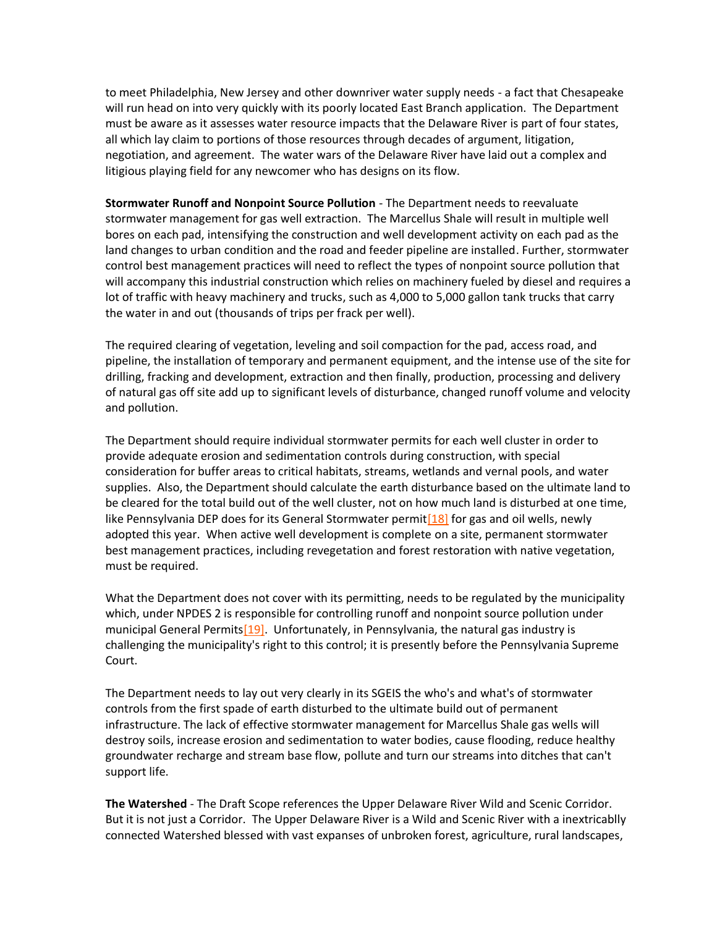to meet Philadelphia, New Jersey and other downriver water supply needs - a fact that Chesapeake will run head on into very quickly with its poorly located East Branch application. The Department must be aware as it assesses water resource impacts that the Delaware River is part of four states, all which lay claim to portions of those resources through decades of argument, litigation, negotiation, and agreement. The water wars of the Delaware River have laid out a complex and litigious playing field for any newcomer who has designs on its flow.

**Stormwater Runoff and Nonpoint Source Pollution** - The Department needs to reevaluate stormwater management for gas well extraction. The Marcellus Shale will result in multiple well bores on each pad, intensifying the construction and well development activity on each pad as the land changes to urban condition and the road and feeder pipeline are installed. Further, stormwater control best management practices will need to reflect the types of nonpoint source pollution that will accompany this industrial construction which relies on machinery fueled by diesel and requires a lot of traffic with heavy machinery and trucks, such as 4,000 to 5,000 gallon tank trucks that carry the water in and out (thousands of trips per frack per well).

The required clearing of vegetation, leveling and soil compaction for the pad, access road, and pipeline, the installation of temporary and permanent equipment, and the intense use of the site for drilling, fracking and development, extraction and then finally, production, processing and delivery of natural gas off site add up to significant levels of disturbance, changed runoff volume and velocity and pollution.

The Department should require individual stormwater permits for each well cluster in order to provide adequate erosion and sedimentation controls during construction, with special consideration for buffer areas to critical habitats, streams, wetlands and vernal pools, and water supplies. Also, the Department should calculate the earth disturbance based on the ultimate land to be cleared for the total build out of the well cluster, not on how much land is disturbed at one time, like Pennsylvania DEP does for its General Stormwater permit  $\left[18\right]$  for gas and oil wells, newly adopted this year. When active well development is complete on a site, permanent stormwater best management practices, including revegetation and forest restoration with native vegetation, must be required.

What the Department does not cover with its permitting, needs to be regulated by the municipality which, under NPDES 2 is responsible for controlling runoff and nonpoint source pollution under municipal General Permits<sup>[19]</sup>. Unfortunately, in Pennsylvania, the natural gas industry is challenging the municipality's right to this control; it is presently before the Pennsylvania Supreme Court.

The Department needs to lay out very clearly in its SGEIS the who's and what's of stormwater controls from the first spade of earth disturbed to the ultimate build out of permanent infrastructure. The lack of effective stormwater management for Marcellus Shale gas wells will destroy soils, increase erosion and sedimentation to water bodies, cause flooding, reduce healthy groundwater recharge and stream base flow, pollute and turn our streams into ditches that can't support life.

**The Watershed** - The Draft Scope references the Upper Delaware River Wild and Scenic Corridor. But it is not just a Corridor. The Upper Delaware River is a Wild and Scenic River with a inextricablly connected Watershed blessed with vast expanses of unbroken forest, agriculture, rural landscapes,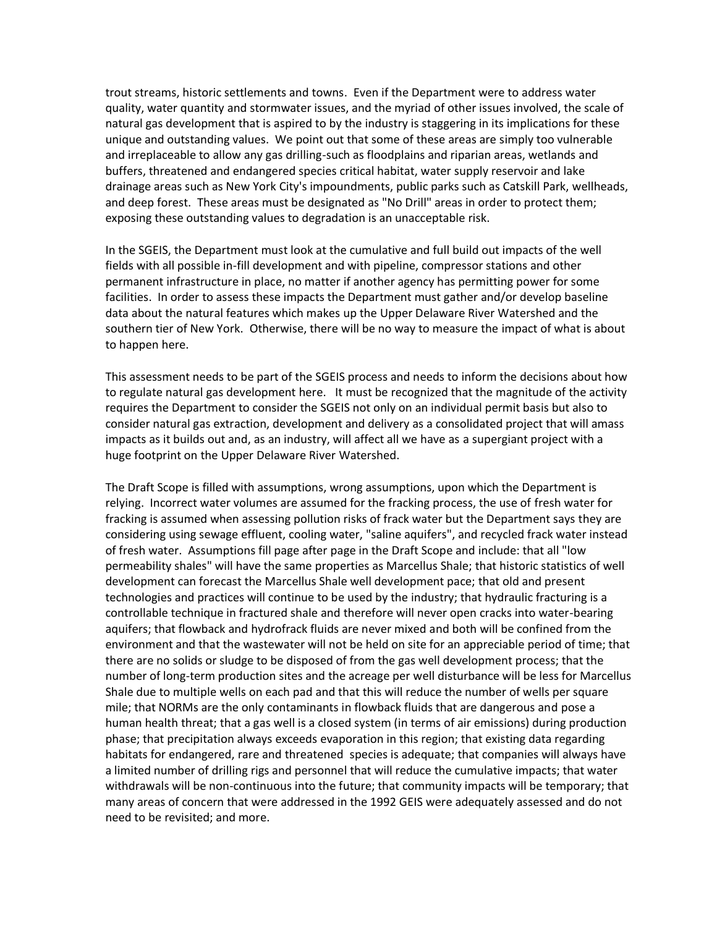trout streams, historic settlements and towns. Even if the Department were to address water quality, water quantity and stormwater issues, and the myriad of other issues involved, the scale of natural gas development that is aspired to by the industry is staggering in its implications for these unique and outstanding values. We point out that some of these areas are simply too vulnerable and irreplaceable to allow any gas drilling-such as floodplains and riparian areas, wetlands and buffers, threatened and endangered species critical habitat, water supply reservoir and lake drainage areas such as New York City's impoundments, public parks such as Catskill Park, wellheads, and deep forest. These areas must be designated as "No Drill" areas in order to protect them; exposing these outstanding values to degradation is an unacceptable risk.

In the SGEIS, the Department must look at the cumulative and full build out impacts of the well fields with all possible in-fill development and with pipeline, compressor stations and other permanent infrastructure in place, no matter if another agency has permitting power for some facilities. In order to assess these impacts the Department must gather and/or develop baseline data about the natural features which makes up the Upper Delaware River Watershed and the southern tier of New York. Otherwise, there will be no way to measure the impact of what is about to happen here.

This assessment needs to be part of the SGEIS process and needs to inform the decisions about how to regulate natural gas development here. It must be recognized that the magnitude of the activity requires the Department to consider the SGEIS not only on an individual permit basis but also to consider natural gas extraction, development and delivery as a consolidated project that will amass impacts as it builds out and, as an industry, will affect all we have as a supergiant project with a huge footprint on the Upper Delaware River Watershed.

The Draft Scope is filled with assumptions, wrong assumptions, upon which the Department is relying. Incorrect water volumes are assumed for the fracking process, the use of fresh water for fracking is assumed when assessing pollution risks of frack water but the Department says they are considering using sewage effluent, cooling water, "saline aquifers", and recycled frack water instead of fresh water. Assumptions fill page after page in the Draft Scope and include: that all "low permeability shales" will have the same properties as Marcellus Shale; that historic statistics of well development can forecast the Marcellus Shale well development pace; that old and present technologies and practices will continue to be used by the industry; that hydraulic fracturing is a controllable technique in fractured shale and therefore will never open cracks into water-bearing aquifers; that flowback and hydrofrack fluids are never mixed and both will be confined from the environment and that the wastewater will not be held on site for an appreciable period of time; that there are no solids or sludge to be disposed of from the gas well development process; that the number of long-term production sites and the acreage per well disturbance will be less for Marcellus Shale due to multiple wells on each pad and that this will reduce the number of wells per square mile; that NORMs are the only contaminants in flowback fluids that are dangerous and pose a human health threat; that a gas well is a closed system (in terms of air emissions) during production phase; that precipitation always exceeds evaporation in this region; that existing data regarding habitats for endangered, rare and threatened species is adequate; that companies will always have a limited number of drilling rigs and personnel that will reduce the cumulative impacts; that water withdrawals will be non-continuous into the future; that community impacts will be temporary; that many areas of concern that were addressed in the 1992 GEIS were adequately assessed and do not need to be revisited; and more.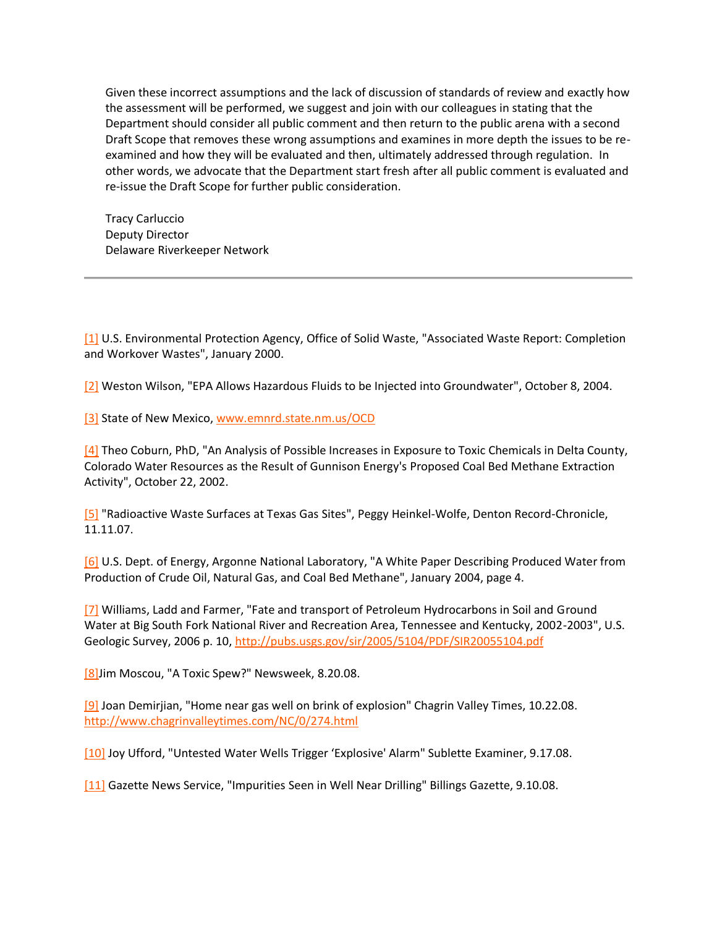Given these incorrect assumptions and the lack of discussion of standards of review and exactly how the assessment will be performed, we suggest and join with our colleagues in stating that the Department should consider all public comment and then return to the public arena with a second Draft Scope that removes these wrong assumptions and examines in more depth the issues to be reexamined and how they will be evaluated and then, ultimately addressed through regulation. In other words, we advocate that the Department start fresh after all public comment is evaluated and re-issue the Draft Scope for further public consideration.

Tracy Carluccio Deputy Director Delaware Riverkeeper Network

[\[1\]](http://delawareriverkeeper.org/?action=edit&id=80#_ftnref1) U.S. Environmental Protection Agency, Office of Solid Waste, "Associated Waste Report: Completion and Workover Wastes", January 2000.

[\[2\]](http://delawareriverkeeper.org/?action=edit&id=80#_ftnref2) Weston Wilson, "EPA Allows Hazardous Fluids to be Injected into Groundwater", October 8, 2004.

[\[3\]](http://delawareriverkeeper.org/?action=edit&id=80#_ftnref3) State of New Mexico, [www.emnrd.state.nm.us/OCD](http://www.emnrd.state.nm.us/OCD)

 $[4]$  Theo Coburn, PhD, "An Analysis of Possible Increases in Exposure to Toxic Chemicals in Delta County, Colorado Water Resources as the Result of Gunnison Energy's Proposed Coal Bed Methane Extraction Activity", October 22, 2002.

[\[5\]](http://delawareriverkeeper.org/?action=edit&id=80#_ftnref5) "Radioactive Waste Surfaces at Texas Gas Sites", Peggy Heinkel-Wolfe, Denton Record-Chronicle, 11.11.07.

[\[6\]](http://delawareriverkeeper.org/?action=edit&id=80#_ftnref6) U.S. Dept. of Energy, Argonne National Laboratory, "A White Paper Describing Produced Water from Production of Crude Oil, Natural Gas, and Coal Bed Methane", January 2004, page 4.

[\[7\]](http://delawareriverkeeper.org/?action=edit&id=80#_ftnref7) Williams, Ladd and Farmer, "Fate and transport of Petroleum Hydrocarbons in Soil and Ground Water at Big South Fork National River and Recreation Area, Tennessee and Kentucky, 2002-2003", U.S. Geologic Survey, 2006 p. 10,<http://pubs.usgs.gov/sir/2005/5104/PDF/SIR20055104.pdf>

[\[8\]J](http://delawareriverkeeper.org/?action=edit&id=80#_ftnref8)im Moscou, "A Toxic Spew?" Newsweek, 8.20.08.

[\[9\]](http://delawareriverkeeper.org/?action=edit&id=80#_ftnref9) Joan Demirjian, "Home near gas well on brink of explosion" Chagrin Valley Times, 10.22.08. <http://www.chagrinvalleytimes.com/NC/0/274.html>

[\[10\]](http://delawareriverkeeper.org/?action=edit&id=80#_ftnref10) Joy Ufford, "Untested Water Wells Trigger 'Explosive' Alarm" Sublette Examiner, 9.17.08.

[\[11\]](http://delawareriverkeeper.org/?action=edit&id=80#_ftnref11) Gazette News Service, "Impurities Seen in Well Near Drilling" Billings Gazette, 9.10.08.